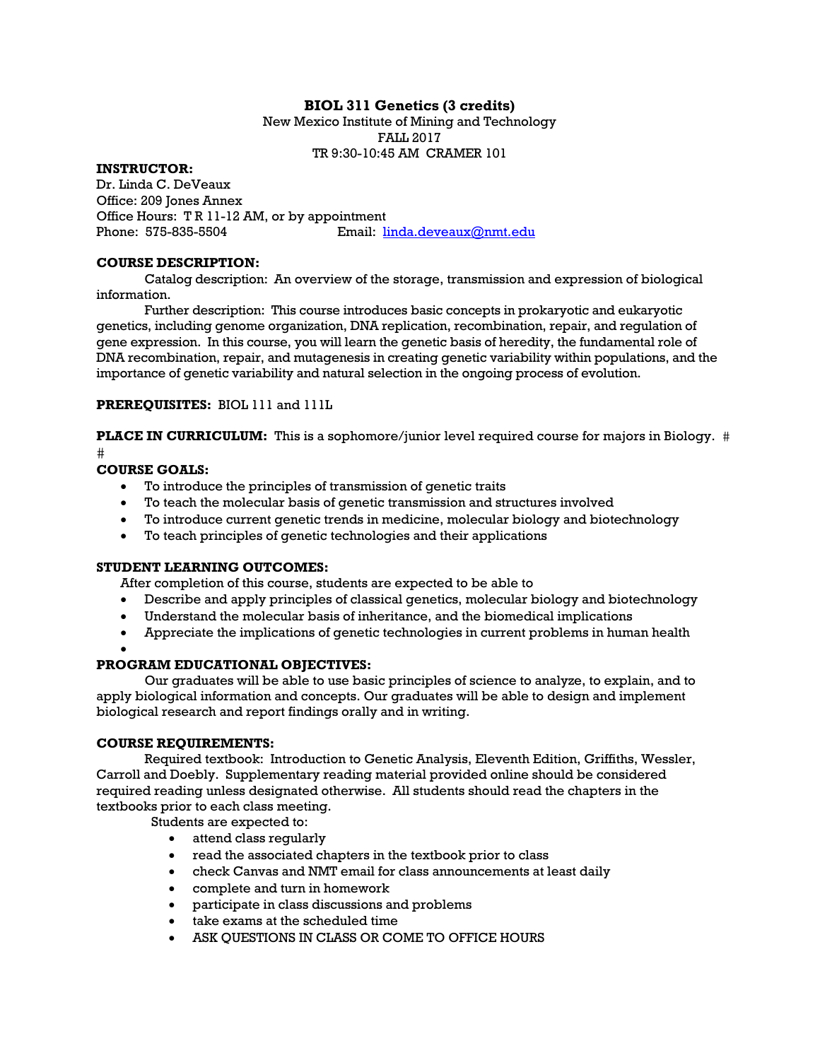## **BIOL 311 Genetics (3 credits)**

New Mexico Institute of Mining and Technology FALL 2017 TR 9:30-10:45 AM CRAMER 101

## **INSTRUCTOR:**

Dr. Linda C. DeVeaux Office: 209 Jones Annex Office Hours: T R 11-12 AM, or by appointment Phone: 575-835-5504 Email: linda.deveaux@nmt.edu

#### **COURSE DESCRIPTION:**

Catalog description: An overview of the storage, transmission and expression of biological information.

Further description: This course introduces basic concepts in prokaryotic and eukaryotic genetics, including genome organization, DNA replication, recombination, repair, and regulation of gene expression. In this course, you will learn the genetic basis of heredity, the fundamental role of DNA recombination, repair, and mutagenesis in creating genetic variability within populations, and the importance of genetic variability and natural selection in the ongoing process of evolution.

**PREREQUISITES:** BIOL 111 and 111L

**PLACE IN CURRICULUM:** This is a sophomore/junior level required course for majors in Biology. # **let** 

#### **COURSE GOALS:**

- To introduce the principles of transmission of genetic traits
- To teach the molecular basis of genetic transmission and structures involved
- To introduce current genetic trends in medicine, molecular biology and biotechnology
- To teach principles of genetic technologies and their applications

## **STUDENT LEARNING OUTCOMES:**

After completion of this course, students are expected to be able to

- Describe and apply principles of classical genetics, molecular biology and biotechnology
- Understand the molecular basis of inheritance, and the biomedical implications
- Appreciate the implications of genetic technologies in current problems in human health

#### $\bullet$

## **PROGRAM EDUCATIONAL OBJECTIVES:**

Our graduates will be able to use basic principles of science to analyze, to explain, and to apply biological information and concepts. Our graduates will be able to design and implement biological research and report findings orally and in writing.

#### **COURSE REQUIREMENTS:**

Required textbook: Introduction to Genetic Analysis, Eleventh Edition, Griffiths, Wessler, Carroll and Doebly. Supplementary reading material provided online should be considered required reading unless designated otherwise. All students should read the chapters in the textbooks prior to each class meeting.

Students are expected to:

- attend class regularly
- read the associated chapters in the textbook prior to class
- check Canvas and NMT email for class announcements at least daily
- complete and turn in homework
- participate in class discussions and problems
- take exams at the scheduled time
- ASK QUESTIONS IN CLASS OR COME TO OFFICE HOURS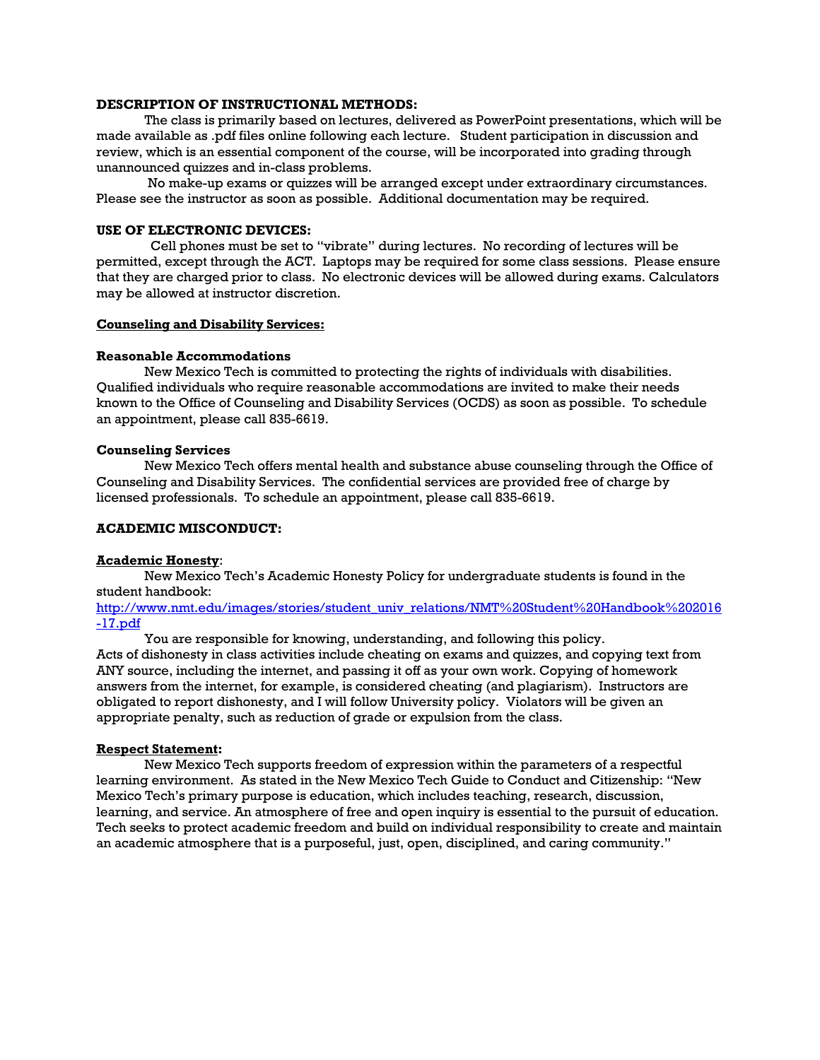## **DESCRIPTION OF INSTRUCTIONAL METHODS:**

The class is primarily based on lectures, delivered as PowerPoint presentations, which will be made available as .pdf files online following each lecture. Student participation in discussion and review, which is an essential component of the course, will be incorporated into grading through unannounced quizzes and in-class problems.

 No make-up exams or quizzes will be arranged except under extraordinary circumstances. Please see the instructor as soon as possible. Additional documentation may be required.

#### **USE OF ELECTRONIC DEVICES:**

Cell phones must be set to "vibrate" during lectures. No recording of lectures will be permitted, except through the ACT. Laptops may be required for some class sessions. Please ensure that they are charged prior to class. No electronic devices will be allowed during exams. Calculators may be allowed at instructor discretion.

#### **Counseling and Disability Services:**

#### **Reasonable Accommodations**

New Mexico Tech is committed to protecting the rights of individuals with disabilities. Qualified individuals who require reasonable accommodations are invited to make their needs known to the Office of Counseling and Disability Services (OCDS) as soon as possible. To schedule an appointment, please call 835-6619.

#### **Counseling Services**

New Mexico Tech offers mental health and substance abuse counseling through the Office of Counseling and Disability Services. The confidential services are provided free of charge by licensed professionals. To schedule an appointment, please call 835-6619.

#### **ACADEMIC MISCONDUCT:**

#### **Academic Honesty**:

New Mexico Tech's Academic Honesty Policy for undergraduate students is found in the student handbook:

http://www.nmt.edu/images/stories/student\_univ\_relations/NMT%20Student%20Handbook%202016 -17.pdf

You are responsible for knowing, understanding, and following this policy. Acts of dishonesty in class activities include cheating on exams and quizzes, and copying text from ANY source, including the internet, and passing it off as your own work. Copying of homework answers from the internet, for example, is considered cheating (and plagiarism). Instructors are obligated to report dishonesty, and I will follow University policy. Violators will be given an appropriate penalty, such as reduction of grade or expulsion from the class.

#### **Respect Statement:**

New Mexico Tech supports freedom of expression within the parameters of a respectful learning environment. As stated in the New Mexico Tech Guide to Conduct and Citizenship: "New Mexico Tech's primary purpose is education, which includes teaching, research, discussion, learning, and service. An atmosphere of free and open inquiry is essential to the pursuit of education. Tech seeks to protect academic freedom and build on individual responsibility to create and maintain an academic atmosphere that is a purposeful, just, open, disciplined, and caring community."